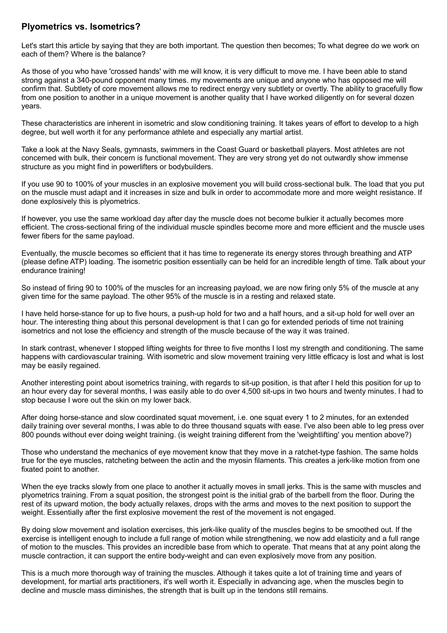## **Plyometrics vs. Isometrics?**

Let's start this article by saying that they are both important. The question then becomes; To what degree do we work on each of them? Where is the balance?

As those of you who have 'crossed hands' with me will know, it is very difficult to move me. I have been able to stand strong against a 340-pound opponent many times. my movements are unique and anyone who has opposed me will confirm that. Subtlety of core movement allows me to redirect energy very subtlety or overtly. The ability to gracefully flow from one position to another in a unique movement is another quality that I have worked diligently on for several dozen years.

These characteristics are inherent in isometric and slow conditioning training. It takes years of effort to develop to a high degree, but well worth it for any performance athlete and especially any martial artist.

Take a look at the Navy Seals, gymnasts, swimmers in the Coast Guard or basketball players. Most athletes are not concerned with bulk, their concern is functional movement. They are very strong yet do not outwardly show immense structure as you might find in powerlifters or bodybuilders.

If you use 90 to 100% of your muscles in an explosive movement you will build cross-sectional bulk. The load that you put on the muscle must adapt and it increases in size and bulk in order to accommodate more and more weight resistance. If done explosively this is plyometrics.

If however, you use the same workload day after day the muscle does not become bulkier it actually becomes more efficient. The cross-sectional firing of the individual muscle spindles become more and more efficient and the muscle uses fewer fibers for the same payload.

Eventually, the muscle becomes so efficient that it has time to regenerate its energy stores through breathing and ATP (please define ATP) loading. The isometric position essentially can be held for an incredible length of time. Talk about your endurance training!

So instead of firing 90 to 100% of the muscles for an increasing payload, we are now firing only 5% of the muscle at any given time for the same payload. The other 95% of the muscle is in a resting and relaxed state.

I have held horse-stance for up to five hours, a push-up hold for two and a half hours, and a sit-up hold for well over an hour. The interesting thing about this personal development is that I can go for extended periods of time not training isometrics and not lose the efficiency and strength of the muscle because of the way it was trained.

In stark contrast, whenever I stopped lifting weights for three to five months I lost my strength and conditioning. The same happens with cardiovascular training. With isometric and slow movement training very little efficacy is lost and what is lost may be easily regained.

Another interesting point about isometrics training, with regards to sit-up position, is that after I held this position for up to an hour every day for several months, I was easily able to do over 4,500 sit-ups in two hours and twenty minutes. I had to stop because I wore out the skin on my lower back.

After doing horse-stance and slow coordinated squat movement, i.e. one squat every 1 to 2 minutes, for an extended daily training over several months, I was able to do three thousand squats with ease. I've also been able to leg press over 800 pounds without ever doing weight training. (is weight training different from the 'weightlifting' you mention above?)

Those who understand the mechanics of eye movement know that they move in a ratchet-type fashion. The same holds true for the eye muscles, ratcheting between the actin and the myosin filaments. This creates a jerk-like motion from one fixated point to another.

When the eye tracks slowly from one place to another it actually moves in small jerks. This is the same with muscles and plyometrics training. From a squat position, the strongest point is the initial grab of the barbell from the floor. During the rest of its upward motion, the body actually relaxes, drops with the arms and moves to the next position to support the weight. Essentially after the first explosive movement the rest of the movement is not engaged.

By doing slow movement and isolation exercises, this jerk-like quality of the muscles begins to be smoothed out. If the exercise is intelligent enough to include a full range of motion while strengthening, we now add elasticity and a full range of motion to the muscles. This provides an incredible base from which to operate. That means that at any point along the muscle contraction, it can support the entire body-weight and can even explosively move from any position.

This is a much more thorough way of training the muscles. Although it takes quite a lot of training time and years of development, for martial arts practitioners, it's well worth it. Especially in advancing age, when the muscles begin to decline and muscle mass diminishes, the strength that is built up in the tendons still remains.